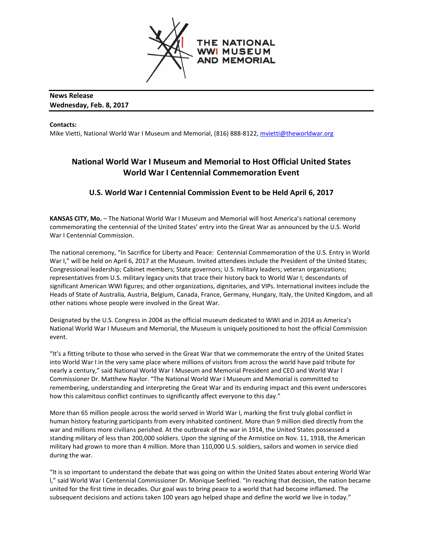

### **News Release Wednesday, Feb. 8, 2017**

**Contacts:**

Mike Vietti, National World War I Museum and Memorial, (816) 888-8122, [mvietti@theworldwar.org](mailto:mvietti@theworldwar.org)

# **National World War I Museum and Memorial to Host Official United States World War I Centennial Commemoration Event**

## **U.S. World War I Centennial Commission Event to be Held April 6, 2017**

**KANSAS CITY, Mo.** – The National World War I Museum and Memorial will host America's national ceremony commemorating the centennial of the United States' entry into the Great War as announced by the U.S. World War I Centennial Commission.

The national ceremony, "In Sacrifice for Liberty and Peace: Centennial Commemoration of the U.S. Entry in World War I," will be held on April 6, 2017 at the Museum. Invited attendees include the President of the United States; Congressional leadership; Cabinet members; State governors; U.S. military leaders; veteran organizations; representatives from U.S. military legacy units that trace their history back to World War I; descendants of significant American WWI figures; and other organizations, dignitaries, and VIPs. International invitees include the Heads of State of Australia, Austria, Belgium, Canada, France, Germany, Hungary, Italy, the United Kingdom, and all other nations whose people were involved in the Great War.

Designated by the U.S. Congress in 2004 as the official museum dedicated to WWI and in 2014 as America's National World War I Museum and Memorial, the Museum is uniquely positioned to host the official Commission event.

"It's a fitting tribute to those who served in the Great War that we commemorate the entry of the United States into World War I in the very same place where millions of visitors from across the world have paid tribute for nearly a century," said National World War I Museum and Memorial President and CEO and World War l Commissioner Dr. Matthew Naylor. "The National World War I Museum and Memorial is committed to remembering, understanding and interpreting the Great War and its enduring impact and this event underscores how this calamitous conflict continues to significantly affect everyone to this day."

More than 65 million people across the world served in World War I, marking the first truly global conflict in human history featuring participants from every inhabited continent. More than 9 million died directly from the war and millions more civilians perished. At the outbreak of the war in 1914, the United States possessed a standing military of less than 200,000 soldiers. Upon the signing of the Armistice on Nov. 11, 1918, the American military had grown to more than 4 million. More than 110,000 U.S. soldiers, sailors and women in service died during the war.

"It is so important to understand the debate that was going on within the United States about entering World War l," said World War I Centennial Commissioner Dr. Monique Seefried. "In reaching that decision, the nation became united for the first time in decades. Our goal was to bring peace to a world that had become inflamed. The subsequent decisions and actions taken 100 years ago helped shape and define the world we live in today."